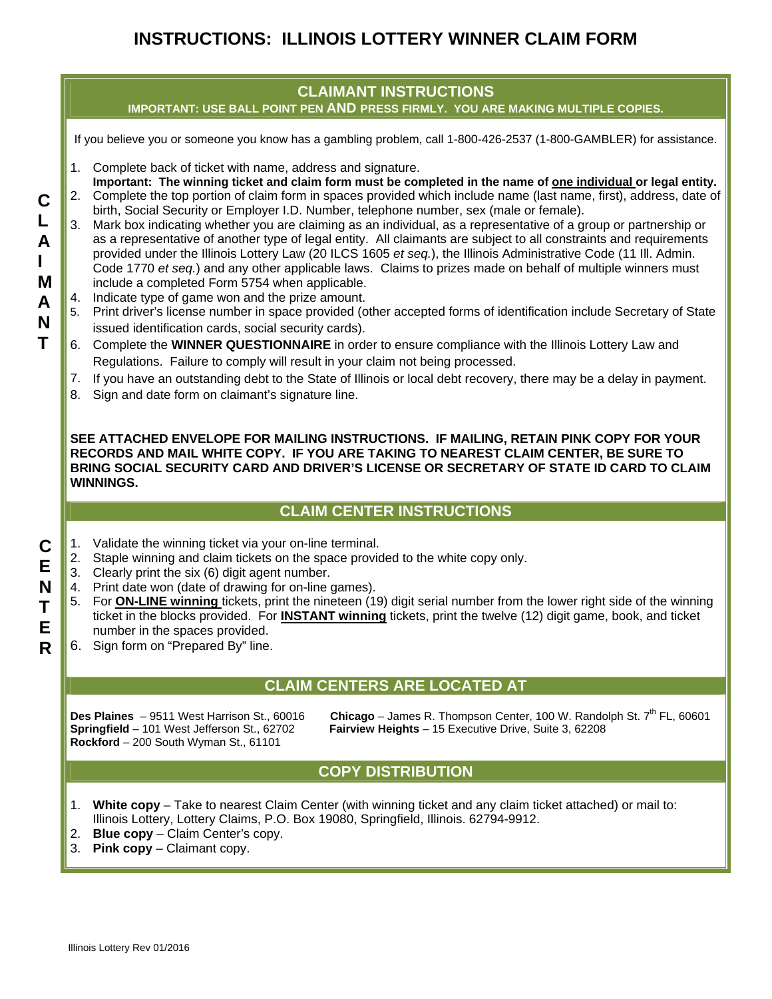# **INSTRUCTIONS: ILLINOIS LOTTERY WINNER CLAIM FORM**



**SEE ATTACHED ENVELOPE FOR MAILING INSTRUCTIONS. IF MAILING, RETAIN PINK COPY FOR YOUR RECORDS AND MAIL WHITE COPY. IF YOU ARE TAKING TO NEAREST CLAIM CENTER, BE SURE TO BRING SOCIAL SECURITY CARD AND DRIVER'S LICENSE OR SECRETARY OF STATE ID CARD TO CLAIM WINNINGS.** 

### **CLAIM CENTER INSTRUCTIONS**

- 1. Validate the winning ticket via your on-line terminal.
- 2. Staple winning and claim tickets on the space provided to the white copy only.
- 3. Clearly print the six (6) digit agent number.
- 4. Print date won (date of drawing for on-line games).
- 5. For **ON-LINE winning** tickets, print the nineteen (19) digit serial number from the lower right side of the winning ticket in the blocks provided. For **INSTANT winning** tickets, print the twelve (12) digit game, book, and ticket number in the spaces provided.
- 6. Sign form on "Prepared By" line.

### **CLAIM CENTERS ARE LOCATED AT**

**Rockford** – 200 South Wyman St., 61101

**Des Plaines** - 9511 West Harrison St., 60016 **Chicago** - James R. Thompson Center, 100 W. Randolph St. 7<sup>th</sup> FL, 60601 **Springfield** – 101 West Jefferson St., 62702 **Fairview Heights** – 15 Executive Drive, Suite 3, 62208

#### **COPY DISTRIBUTION**

- 1. **White copy**  Take to nearest Claim Center (with winning ticket and any claim ticket attached) or mail to: Illinois Lottery, Lottery Claims, P.O. Box 19080, Springfield, Illinois. 62794-9912.
- 2. **Blue copy**  Claim Center's copy.
- 3. **Pink copy**  Claimant copy.

**C E N T E R**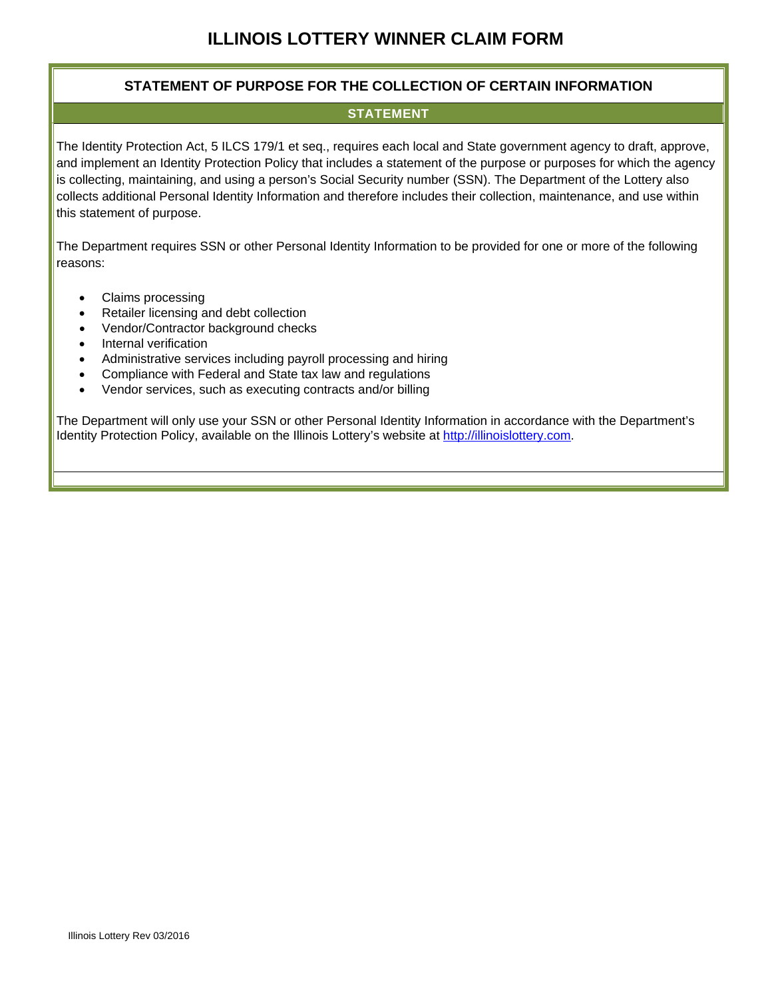#### **STATEMENT OF PURPOSE FOR THE COLLECTION OF CERTAIN INFORMATION**

#### **STATEMENT**

The Identity Protection Act, 5 ILCS 179/1 et seq., requires each local and State government agency to draft, approve, and implement an Identity Protection Policy that includes a statement of the purpose or purposes for which the agency is collecting, maintaining, and using a person's Social Security number (SSN). The Department of the Lottery also collects additional Personal Identity Information and therefore includes their collection, maintenance, and use within this statement of purpose.

The Department requires SSN or other Personal Identity Information to be provided for one or more of the following reasons:

- Claims processing
- Retailer licensing and debt collection
- Vendor/Contractor background checks
- Internal verification
- Administrative services including payroll processing and hiring
- Compliance with Federal and State tax law and regulations
- Vendor services, such as executing contracts and/or billing

The Department will only use your SSN or other Personal Identity Information in accordance with the Department's Identity Protection Policy, available on the Illinois Lottery's website at http://illinoislottery.com.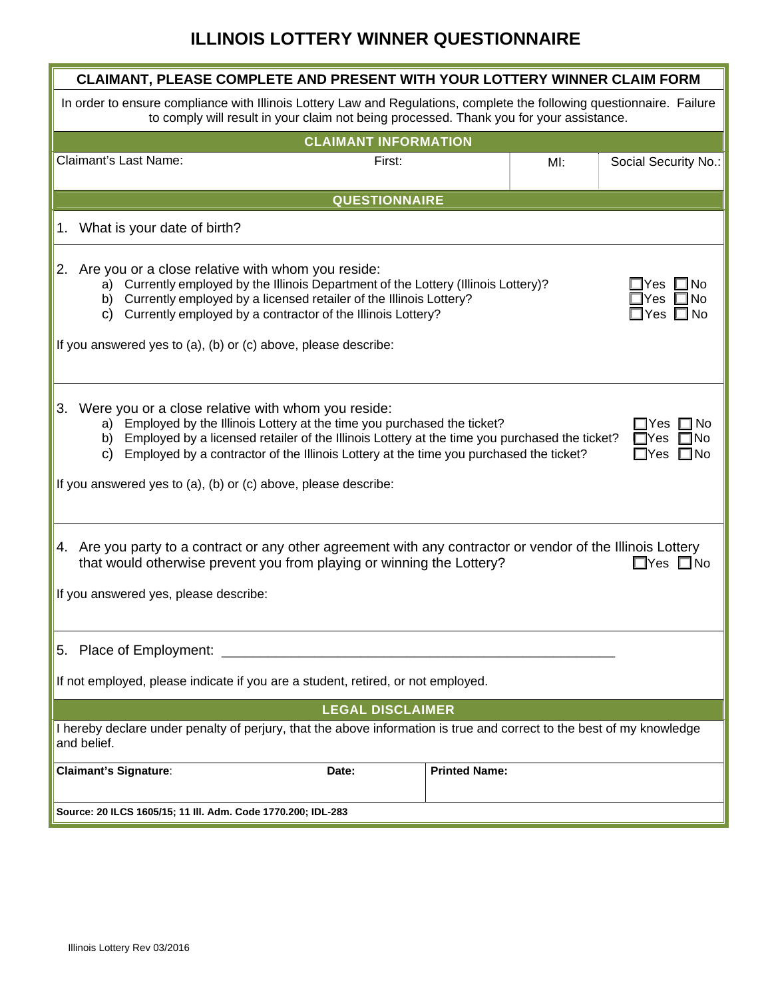# **ILLINOIS LOTTERY WINNER QUESTIONNAIRE**

| CLAIMANT, PLEASE COMPLETE AND PRESENT WITH YOUR LOTTERY WINNER CLAIM FORM                                                                                                                                                                                                                                                                                                                                                                                                     |        |                      |        |                      |  |  |  |  |  |
|-------------------------------------------------------------------------------------------------------------------------------------------------------------------------------------------------------------------------------------------------------------------------------------------------------------------------------------------------------------------------------------------------------------------------------------------------------------------------------|--------|----------------------|--------|----------------------|--|--|--|--|--|
| In order to ensure compliance with Illinois Lottery Law and Regulations, complete the following questionnaire. Failure<br>to comply will result in your claim not being processed. Thank you for your assistance.                                                                                                                                                                                                                                                             |        |                      |        |                      |  |  |  |  |  |
| <b>CLAIMANT INFORMATION</b>                                                                                                                                                                                                                                                                                                                                                                                                                                                   |        |                      |        |                      |  |  |  |  |  |
| Claimant's Last Name:                                                                                                                                                                                                                                                                                                                                                                                                                                                         | First: |                      | $M!$ : | Social Security No.: |  |  |  |  |  |
| <b>QUESTIONNAIRE</b>                                                                                                                                                                                                                                                                                                                                                                                                                                                          |        |                      |        |                      |  |  |  |  |  |
| 1. What is your date of birth?                                                                                                                                                                                                                                                                                                                                                                                                                                                |        |                      |        |                      |  |  |  |  |  |
| 2. Are you or a close relative with whom you reside:<br>a) Currently employed by the Illinois Department of the Lottery (Illinois Lottery)?<br>lYes I<br>∟l No<br>b) Currently employed by a licensed retailer of the Illinois Lottery?<br>⊒Yes<br>l No<br>Currently employed by a contractor of the Illinois Lottery?<br>C)<br>□Yes □No<br>If you answered yes to (a), (b) or (c) above, please describe:                                                                    |        |                      |        |                      |  |  |  |  |  |
| 3. Were you or a close relative with whom you reside:<br>Employed by the Illinois Lottery at the time you purchased the ticket?<br>∃ No<br>a)<br>Yes.<br>Employed by a licensed retailer of the Illinois Lottery at the time you purchased the ticket?<br>lNo<br>b)<br>Yes<br>Employed by a contractor of the Illinois Lottery at the time you purchased the ticket?<br>C)<br>$\square$ No<br>$\square$ Yes<br>If you answered yes to (a), (b) or (c) above, please describe: |        |                      |        |                      |  |  |  |  |  |
| 4. Are you party to a contract or any other agreement with any contractor or vendor of the Illinois Lottery<br>that would otherwise prevent you from playing or winning the Lottery?<br>$\Box$ Yes $\Box$ No<br>If you answered yes, please describe:                                                                                                                                                                                                                         |        |                      |        |                      |  |  |  |  |  |
| 5. Place of Employment: __________<br>If not employed, please indicate if you are a student, retired, or not employed.                                                                                                                                                                                                                                                                                                                                                        |        |                      |        |                      |  |  |  |  |  |
| <b>LEGAL DISCLAIMER</b>                                                                                                                                                                                                                                                                                                                                                                                                                                                       |        |                      |        |                      |  |  |  |  |  |
| I hereby declare under penalty of perjury, that the above information is true and correct to the best of my knowledge<br>and belief.                                                                                                                                                                                                                                                                                                                                          |        |                      |        |                      |  |  |  |  |  |
| <b>Claimant's Signature:</b>                                                                                                                                                                                                                                                                                                                                                                                                                                                  | Date:  | <b>Printed Name:</b> |        |                      |  |  |  |  |  |
| Source: 20 ILCS 1605/15; 11 III. Adm. Code 1770.200; IDL-283                                                                                                                                                                                                                                                                                                                                                                                                                  |        |                      |        |                      |  |  |  |  |  |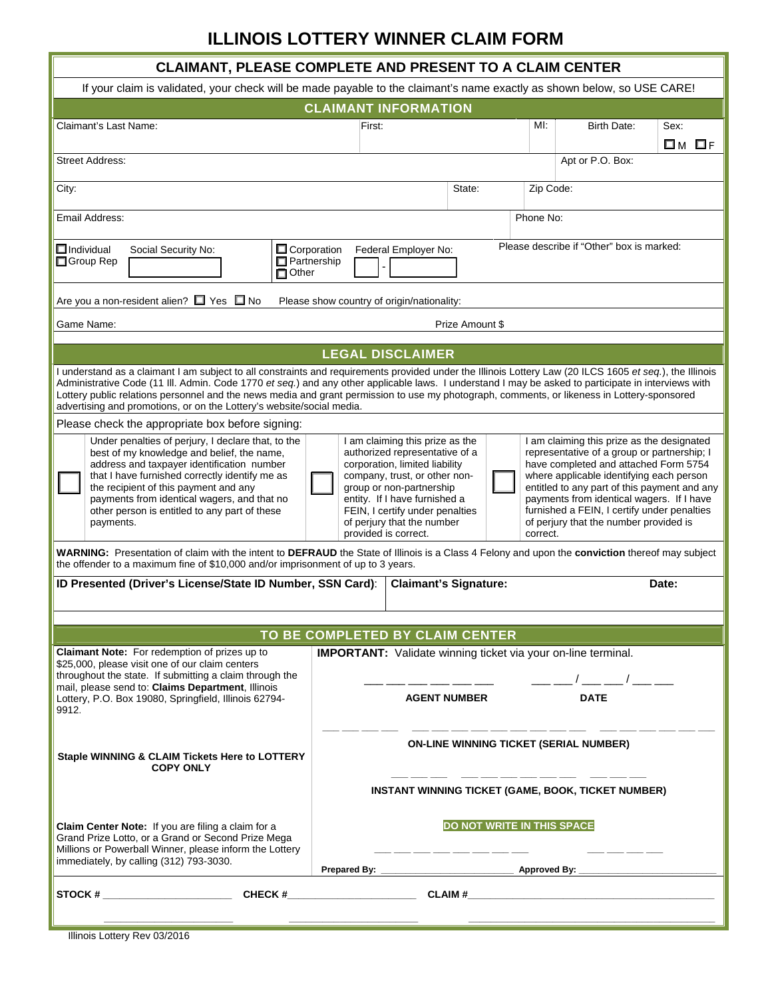# **ILLINOIS LOTTERY WINNER CLAIM FORM**

| <b>CLAIMANT, PLEASE COMPLETE AND PRESENT TO A CLAIM CENTER</b>                                                                                                                                                                                                                                                                                                                                                                                                                                                                          |                                                                                                               |                                                                                                                                                                                                                                                                                            |        |                                                                                                                                                                                                                                                                                                                                                                                  |                                                                              |              |  |  |  |  |
|-----------------------------------------------------------------------------------------------------------------------------------------------------------------------------------------------------------------------------------------------------------------------------------------------------------------------------------------------------------------------------------------------------------------------------------------------------------------------------------------------------------------------------------------|---------------------------------------------------------------------------------------------------------------|--------------------------------------------------------------------------------------------------------------------------------------------------------------------------------------------------------------------------------------------------------------------------------------------|--------|----------------------------------------------------------------------------------------------------------------------------------------------------------------------------------------------------------------------------------------------------------------------------------------------------------------------------------------------------------------------------------|------------------------------------------------------------------------------|--------------|--|--|--|--|
| If your claim is validated, your check will be made payable to the claimant's name exactly as shown below, so USE CARE!                                                                                                                                                                                                                                                                                                                                                                                                                 |                                                                                                               |                                                                                                                                                                                                                                                                                            |        |                                                                                                                                                                                                                                                                                                                                                                                  |                                                                              |              |  |  |  |  |
| <b>CLAIMANT INFORMATION</b>                                                                                                                                                                                                                                                                                                                                                                                                                                                                                                             |                                                                                                               |                                                                                                                                                                                                                                                                                            |        |                                                                                                                                                                                                                                                                                                                                                                                  |                                                                              |              |  |  |  |  |
| Claimant's Last Name:                                                                                                                                                                                                                                                                                                                                                                                                                                                                                                                   | First:                                                                                                        |                                                                                                                                                                                                                                                                                            |        | MI:                                                                                                                                                                                                                                                                                                                                                                              | Birth Date:                                                                  | Sex:         |  |  |  |  |
|                                                                                                                                                                                                                                                                                                                                                                                                                                                                                                                                         |                                                                                                               |                                                                                                                                                                                                                                                                                            |        |                                                                                                                                                                                                                                                                                                                                                                                  |                                                                              | <b>Ом Ог</b> |  |  |  |  |
| <b>Street Address:</b>                                                                                                                                                                                                                                                                                                                                                                                                                                                                                                                  |                                                                                                               |                                                                                                                                                                                                                                                                                            |        |                                                                                                                                                                                                                                                                                                                                                                                  | Apt or P.O. Box:                                                             |              |  |  |  |  |
| City:                                                                                                                                                                                                                                                                                                                                                                                                                                                                                                                                   |                                                                                                               |                                                                                                                                                                                                                                                                                            | State: | Zip Code:                                                                                                                                                                                                                                                                                                                                                                        |                                                                              |              |  |  |  |  |
| Email Address:                                                                                                                                                                                                                                                                                                                                                                                                                                                                                                                          | Phone No:                                                                                                     |                                                                                                                                                                                                                                                                                            |        |                                                                                                                                                                                                                                                                                                                                                                                  |                                                                              |              |  |  |  |  |
| $\Box$ Individual<br>Social Security No:<br>Group Rep<br>$\Box$ Other                                                                                                                                                                                                                                                                                                                                                                                                                                                                   | Please describe if "Other" box is marked:<br>$\Box$ Corporation<br>Federal Employer No:<br>$\Box$ Partnership |                                                                                                                                                                                                                                                                                            |        |                                                                                                                                                                                                                                                                                                                                                                                  |                                                                              |              |  |  |  |  |
| Are you a non-resident alien? $\Box$ Yes $\Box$ No<br>Please show country of origin/nationality:                                                                                                                                                                                                                                                                                                                                                                                                                                        |                                                                                                               |                                                                                                                                                                                                                                                                                            |        |                                                                                                                                                                                                                                                                                                                                                                                  |                                                                              |              |  |  |  |  |
| Game Name:<br>Prize Amount \$                                                                                                                                                                                                                                                                                                                                                                                                                                                                                                           |                                                                                                               |                                                                                                                                                                                                                                                                                            |        |                                                                                                                                                                                                                                                                                                                                                                                  |                                                                              |              |  |  |  |  |
| <b>LEGAL DISCLAIMER</b>                                                                                                                                                                                                                                                                                                                                                                                                                                                                                                                 |                                                                                                               |                                                                                                                                                                                                                                                                                            |        |                                                                                                                                                                                                                                                                                                                                                                                  |                                                                              |              |  |  |  |  |
| I understand as a claimant I am subject to all constraints and requirements provided under the Illinois Lottery Law (20 ILCS 1605 et seq.), the Illinois<br>Administrative Code (11 III. Admin. Code 1770 et seq.) and any other applicable laws. I understand I may be asked to participate in interviews with<br>Lottery public relations personnel and the news media and grant permission to use my photograph, comments, or likeness in Lottery-sponsored<br>advertising and promotions, or on the Lottery's website/social media. |                                                                                                               |                                                                                                                                                                                                                                                                                            |        |                                                                                                                                                                                                                                                                                                                                                                                  |                                                                              |              |  |  |  |  |
| Please check the appropriate box before signing:                                                                                                                                                                                                                                                                                                                                                                                                                                                                                        |                                                                                                               |                                                                                                                                                                                                                                                                                            |        |                                                                                                                                                                                                                                                                                                                                                                                  |                                                                              |              |  |  |  |  |
| Under penalties of perjury, I declare that, to the<br>best of my knowledge and belief, the name,<br>address and taxpayer identification number<br>that I have furnished correctly identify me as<br>the recipient of this payment and any<br>payments from identical wagers, and that no<br>other person is entitled to any part of these<br>payments.                                                                                                                                                                                  |                                                                                                               | I am claiming this prize as the<br>authorized representative of a<br>corporation, limited liability<br>company, trust, or other non-<br>group or non-partnership<br>entity. If I have furnished a<br>FEIN, I certify under penalties<br>of perjury that the number<br>provided is correct. |        | I am claiming this prize as the designated<br>representative of a group or partnership; I<br>have completed and attached Form 5754<br>where applicable identifying each person<br>entitled to any part of this payment and any<br>payments from identical wagers. If I have<br>furnished a FEIN, I certify under penalties<br>of perjury that the number provided is<br>correct. |                                                                              |              |  |  |  |  |
| WARNING: Presentation of claim with the intent to DEFRAUD the State of Illinois is a Class 4 Felony and upon the conviction thereof may subject<br>the offender to a maximum fine of \$10,000 and/or imprisonment of up to 3 years.                                                                                                                                                                                                                                                                                                     |                                                                                                               |                                                                                                                                                                                                                                                                                            |        |                                                                                                                                                                                                                                                                                                                                                                                  |                                                                              |              |  |  |  |  |
| ID Presented (Driver's License/State ID Number, SSN Card):                                                                                                                                                                                                                                                                                                                                                                                                                                                                              |                                                                                                               | <b>Claimant's Signature:</b>                                                                                                                                                                                                                                                               |        |                                                                                                                                                                                                                                                                                                                                                                                  |                                                                              | Date:        |  |  |  |  |
|                                                                                                                                                                                                                                                                                                                                                                                                                                                                                                                                         |                                                                                                               |                                                                                                                                                                                                                                                                                            |        |                                                                                                                                                                                                                                                                                                                                                                                  |                                                                              |              |  |  |  |  |
|                                                                                                                                                                                                                                                                                                                                                                                                                                                                                                                                         | TO BE COMPLETED BY CLAIM CENTER                                                                               |                                                                                                                                                                                                                                                                                            |        |                                                                                                                                                                                                                                                                                                                                                                                  |                                                                              |              |  |  |  |  |
| Claimant Note: For redemption of prizes up to<br>\$25,000, please visit one of our claim centers<br>throughout the state. If submitting a claim through the<br>mail, please send to: Claims Department, Illinois<br>Lottery, P.O. Box 19080, Springfield, Illinois 62794-<br>9912.                                                                                                                                                                                                                                                      |                                                                                                               | <b>AGENT NUMBER</b>                                                                                                                                                                                                                                                                        |        |                                                                                                                                                                                                                                                                                                                                                                                  | IMPORTANT: Validate winning ticket via your on-line terminal.<br><b>DATE</b> |              |  |  |  |  |
| Staple WINNING & CLAIM Tickets Here to LOTTERY<br><b>COPY ONLY</b>                                                                                                                                                                                                                                                                                                                                                                                                                                                                      | <b>ON-LINE WINNING TICKET (SERIAL NUMBER)</b>                                                                 |                                                                                                                                                                                                                                                                                            |        |                                                                                                                                                                                                                                                                                                                                                                                  |                                                                              |              |  |  |  |  |
| INSTANT WINNING TICKET (GAME, BOOK, TICKET NUMBER)                                                                                                                                                                                                                                                                                                                                                                                                                                                                                      |                                                                                                               |                                                                                                                                                                                                                                                                                            |        |                                                                                                                                                                                                                                                                                                                                                                                  |                                                                              |              |  |  |  |  |
| Claim Center Note: If you are filing a claim for a<br>Grand Prize Lotto, or a Grand or Second Prize Mega<br>Millions or Powerball Winner, please inform the Lottery<br>immediately, by calling (312) 793-3030.                                                                                                                                                                                                                                                                                                                          | DO NOT WRITE IN THIS SPACE                                                                                    |                                                                                                                                                                                                                                                                                            |        |                                                                                                                                                                                                                                                                                                                                                                                  |                                                                              |              |  |  |  |  |
|                                                                                                                                                                                                                                                                                                                                                                                                                                                                                                                                         | CLAIM #                                                                                                       |                                                                                                                                                                                                                                                                                            |        |                                                                                                                                                                                                                                                                                                                                                                                  |                                                                              |              |  |  |  |  |
|                                                                                                                                                                                                                                                                                                                                                                                                                                                                                                                                         |                                                                                                               |                                                                                                                                                                                                                                                                                            |        |                                                                                                                                                                                                                                                                                                                                                                                  |                                                                              |              |  |  |  |  |

Illinois Lottery Rev 03/2016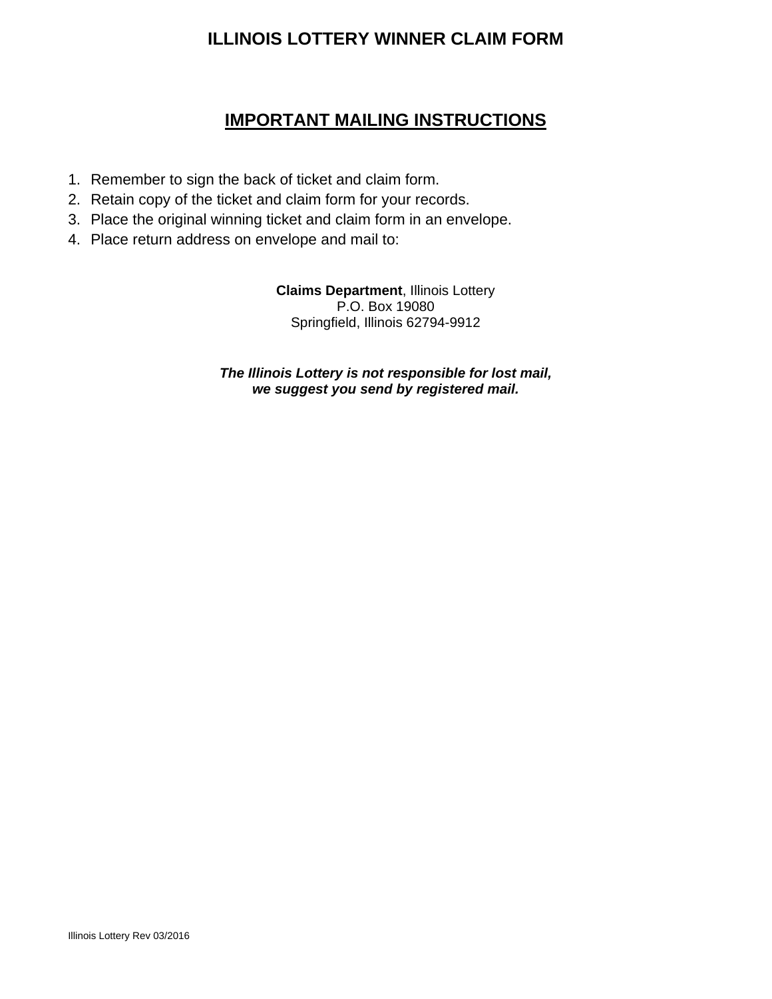### **ILLINOIS LOTTERY WINNER CLAIM FORM**

### **IMPORTANT MAILING INSTRUCTIONS**

- 1. Remember to sign the back of ticket and claim form.
- 2. Retain copy of the ticket and claim form for your records.
- 3. Place the original winning ticket and claim form in an envelope.
- 4. Place return address on envelope and mail to:

**Claims Department**, Illinois Lottery P.O. Box 19080 Springfield, Illinois 62794-9912

*The Illinois Lottery is not responsible for lost mail, we suggest you send by registered mail.*